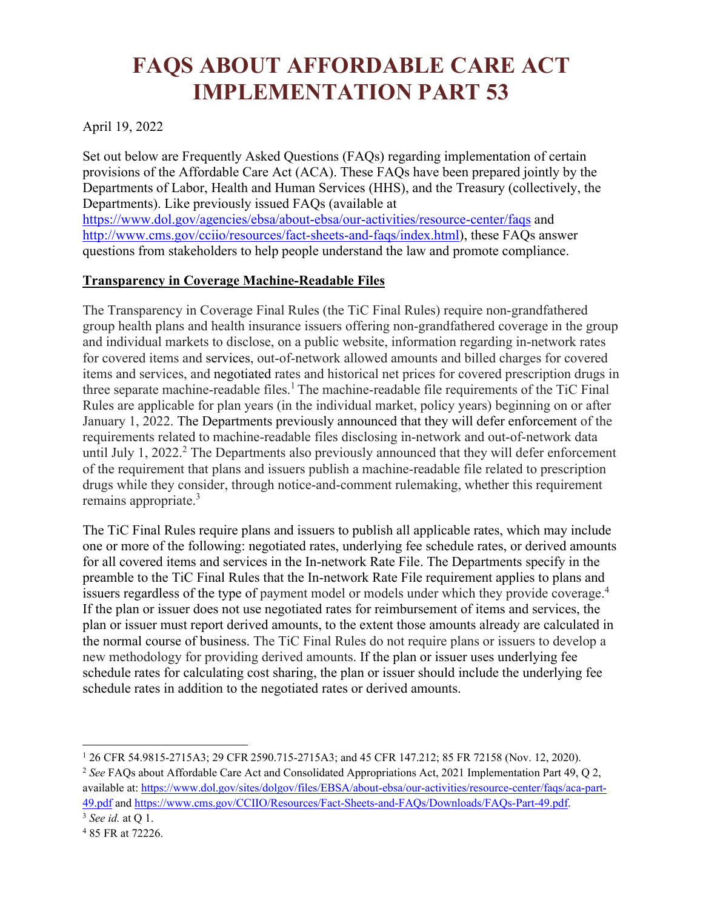## **FAQS ABOUT AFFORDABLE CARE ACT IMPLEMENTATION PART 53**

April 19, 2022

Set out below are Frequently Asked Questions (FAQs) regarding implementation of certain provisions of the Affordable Care Act (ACA). These FAQs have been prepared jointly by the Departments of Labor, Health and Human Services (HHS), and the Treasury (collectively, the Departments). Like previously issued FAQs (available at

<https://www.dol.gov/agencies/ebsa/about-ebsa/our-activities/resource-center/faqs>and [http://www.cms.gov/cciio/resources/fact-sheets-and-faqs/index.html\)](http://www.cms.gov/cciio/resources/fact-sheets-and-faqs/index.html), these FAQs answer questions from stakeholders to help people understand the law and promote compliance.

## **Transparency in Coverage Machine-Readable Files**

The Transparency in Coverage Final Rules (the TiC Final Rules) require non-grandfathered group health plans and health insurance issuers offering non-grandfathered coverage in the group and individual markets to disclose, on a public website, information regarding in-network rates for covered items and services, out-of-network allowed amounts and billed charges for covered items and services, and negotiated rates and historical net prices for covered prescription drugs in three separate machine-readable files.<sup>1</sup> The machine-readable file requirements of the TiC Final Rules are applicable for plan years (in the individual market, policy years) beginning on or after January 1, 2022. The Departments previously announced that they will defer enforcement of the requirements related to machine-readable files disclosing in-network and out-of-network data until July 1, 2022.<sup>2</sup> The Departments also previously announced that they will defer enforcement of the requirement that plans and issuers publish a machine-readable file related to prescription drugs while they consider, through notice-and-comment rulemaking, whether this requirement remains appropriate.<sup>3</sup>

The TiC Final Rules require plans and issuers to publish all applicable rates, which may include one or more of the following: negotiated rates, underlying fee schedule rates, or derived amounts for all covered items and services in the In-network Rate File. The Departments specify in the preamble to the TiC Final Rules that the In-network Rate File requirement applies to plans and issuers regardless of the type of payment model or models under which they provide coverage.<sup>4</sup> If the plan or issuer does not use negotiated rates for reimbursement of items and services, the plan or issuer must report derived amounts, to the extent those amounts already are calculated in the normal course of business. The TiC Final Rules do not require plans or issuers to develop a new methodology for providing derived amounts. If the plan or issuer uses underlying fee schedule rates for calculating cost sharing, the plan or issuer should include the underlying fee schedule rates in addition to the negotiated rates or derived amounts.

<sup>2</sup> *See* FAQs about Affordable Care Act and Consolidated Appropriations Act, 2021 Implementation Part 49, Q 2, available at: [https://www.dol.gov/sites/dolgov/files/EBSA/about-ebsa/our-activities/resource-center/faqs/aca-part-](https://www.dol.gov/sites/dolgov/files/EBSA/about-ebsa/our-activities/resource-center/faqs/aca-part-49.pdf)[49.pdf](https://www.dol.gov/sites/dolgov/files/EBSA/about-ebsa/our-activities/resource-center/faqs/aca-part-49.pdf) and [https://www.cms.gov/CCIIO/Resources/Fact-Sheets-and-FAQs/Downloads/FAQs-Part-49.pdf.](https://www.cms.gov/CCIIO/Resources/Fact-Sheets-and-FAQs/Downloads/FAQs-Part-49.pdf)

<sup>1</sup> 26 CFR 54.9815-2715A3; 29 CFR 2590.715-2715A3; and 45 CFR 147.212; 85 FR 72158 (Nov. 12, 2020).

<sup>3</sup> *See id.* at Q 1.

<sup>4</sup> 85 FR at 72226.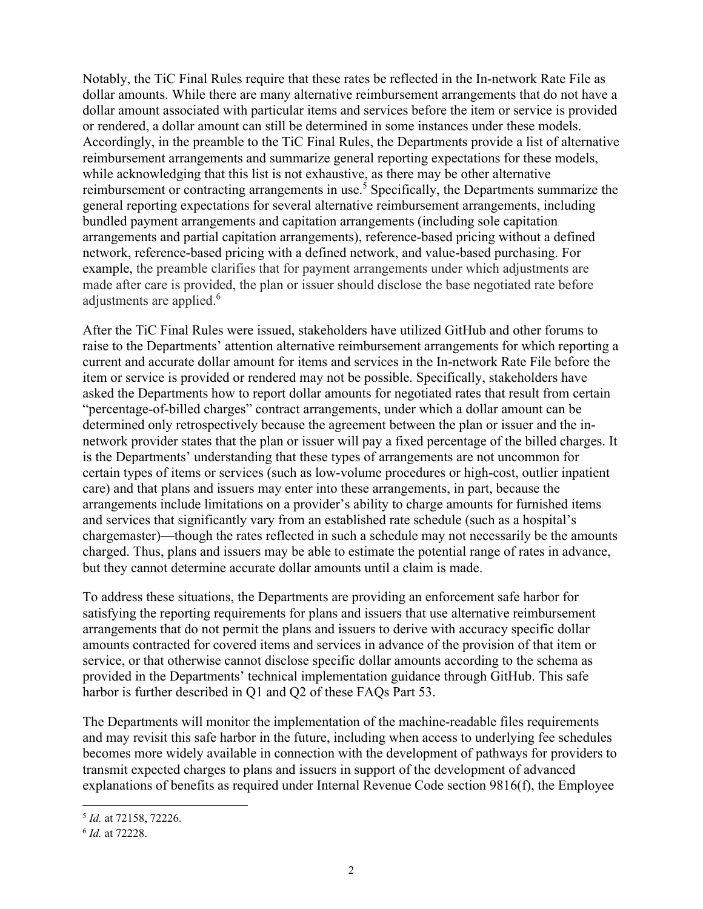Notably, the TiC Final Rules require that these rates be reflected in the In-network Rate File as dollar amounts. While there are many alternative reimbursement arrangements that do not have a dollar amount associated with particular items and services before the item or service is provided or rendered, a dollar amount can still be determined in some instances under these models. Accordingly, in the preamble to the TiC Final Rules, the Departments provide a list of alternative reimbursement arrangements and summarize general reporting expectations for these models, while acknowledging that this list is not exhaustive, as there may be other alternative reimbursement or contracting arrangements in use.<sup>5</sup> Specifically, the Departments summarize the general reporting expectations for several alternative reimbursement arrangements, including bundled payment arrangements and capitation arrangements (including sole capitation arrangements and partial capitation arrangements), reference-based pricing without a defined network, reference-based pricing with a defined network, and value-based purchasing. For example, the preamble clarifies that for payment arrangements under which adjustments are made after care is provided, the plan or issuer should disclose the base negotiated rate before adjustments are applied.<sup>6</sup>

After the TiC Final Rules were issued, stakeholders have utilized GitHub and other forums to raise to the Departments' attention alternative reimbursement arrangements for which reporting a current and accurate dollar amount for items and services in the In-network Rate File before the item or service is provided or rendered may not be possible. Specifically, stakeholders have asked the Departments how to report dollar amounts for negotiated rates that result from certain "percentage-of-billed charges" contract arrangements, under which a dollar amount can be determined only retrospectively because the agreement between the plan or issuer and the innetwork provider states that the plan or issuer will pay a fixed percentage of the billed charges. It is the Departments' understanding that these types of arrangements are not uncommon for certain types of items or services (such as low-volume procedures or high-cost, outlier inpatient care) and that plans and issuers may enter into these arrangements, in part, because the arrangements include limitations on a provider's ability to charge amounts for furnished items and services that significantly vary from an established rate schedule (such as a hospital's chargemaster)—though the rates reflected in such a schedule may not necessarily be the amounts charged. Thus, plans and issuers may be able to estimate the potential range of rates in advance, but they cannot determine accurate dollar amounts until a claim is made.

To address these situations, the Departments are providing an enforcement safe harbor for satisfying the reporting requirements for plans and issuers that use alternative reimbursement arrangements that do not permit the plans and issuers to derive with accuracy specific dollar amounts contracted for covered items and services in advance of the provision of that item or service, or that otherwise cannot disclose specific dollar amounts according to the schema as provided in the Departments' technical implementation guidance through GitHub. This safe harbor is further described in Q1 and Q2 of these FAQs Part 53.

The Departments will monitor the implementation of the machine-readable files requirements and may revisit this safe harbor in the future, including when access to underlying fee schedules becomes more widely available in connection with the development of pathways for providers to transmit expected charges to plans and issuers in support of the development of advanced explanations of benefits as required under Internal Revenue Code section 9816(f), the Employee

<sup>5</sup> *Id.* at 72158, 72226.

<sup>6</sup> *Id.* at 72228.